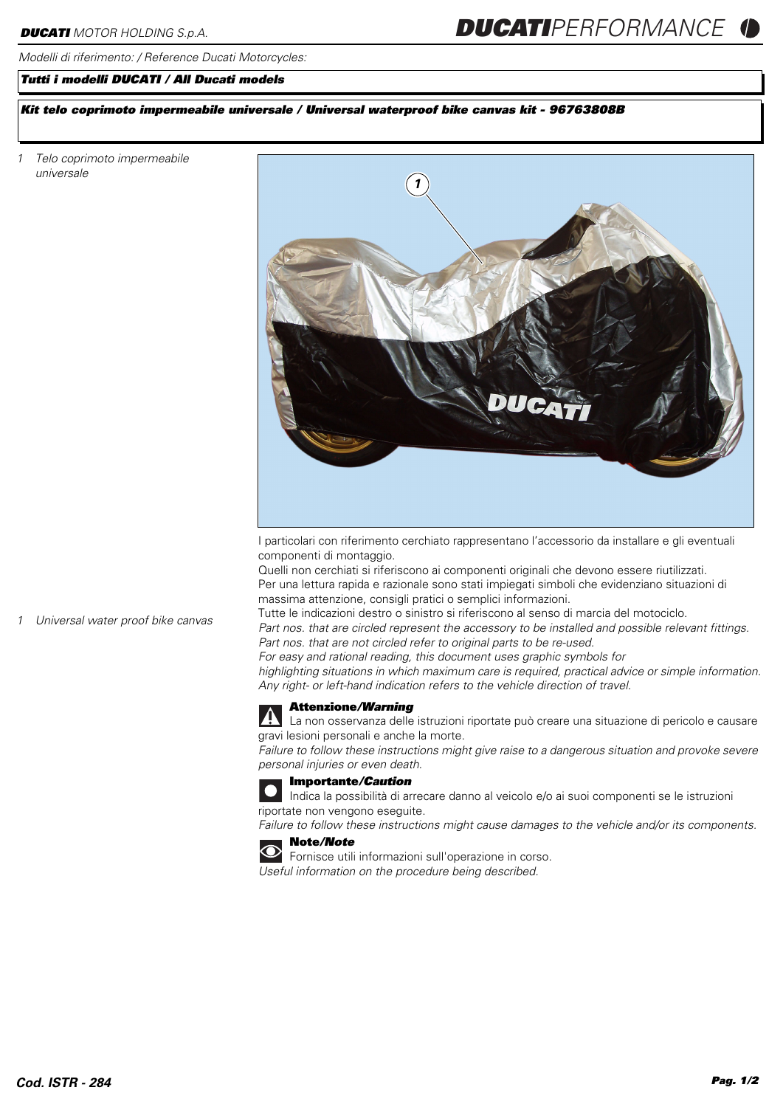#### *Modelli di riferimento: / Reference Ducati Motorcycles:*

# *Tutti i modelli DUCATI / All Ducati models*

# *Kit telo coprimoto impermeabile universale / Universal waterproof bike canvas kit - 96763808B*

*1 Telo coprimoto impermeabile universale* 



I particolari con riferimento cerchiato rappresentano l'accessorio da installare e gli eventuali componenti di montaggio.

Quelli non cerchiati si riferiscono ai componenti originali che devono essere riutilizzati. Per una lettura rapida e razionale sono stati impiegati simboli che evidenziano situazioni di massima attenzione, consigli pratici o semplici informazioni.

*1 Universal water proof bike canvas*

Tutte le indicazioni destro o sinistro si riferiscono al senso di marcia del motociclo. *Part nos. that are circled represent the accessory to be installed and possible relevant fittings. Part nos. that are not circled refer to original parts to be re-used.*

*For easy and rational reading, this document uses graphic symbols for highlighting situations in which maximum care is required, practical advice or simple information. Any right- or left-hand indication refers to the vehicle direction of travel.*



# **Attenzione***/Warning*

La non osservanza delle istruzioni riportate può creare una situazione di pericolo e causare gravi lesioni personali e anche la morte.

*Failure to follow these instructions might give raise to a dangerous situation and provoke severe personal injuries or even death.*



**Importante***/Caution*

Indica la possibilità di arrecare danno al veicolo e/o ai suoi componenti se le istruzioni riportate non vengono eseguite.

*Failure to follow these instructions might cause damages to the vehicle and/or its components.*





Fornisce utili informazioni sull'operazione in corso. *Useful information on the procedure being described.*